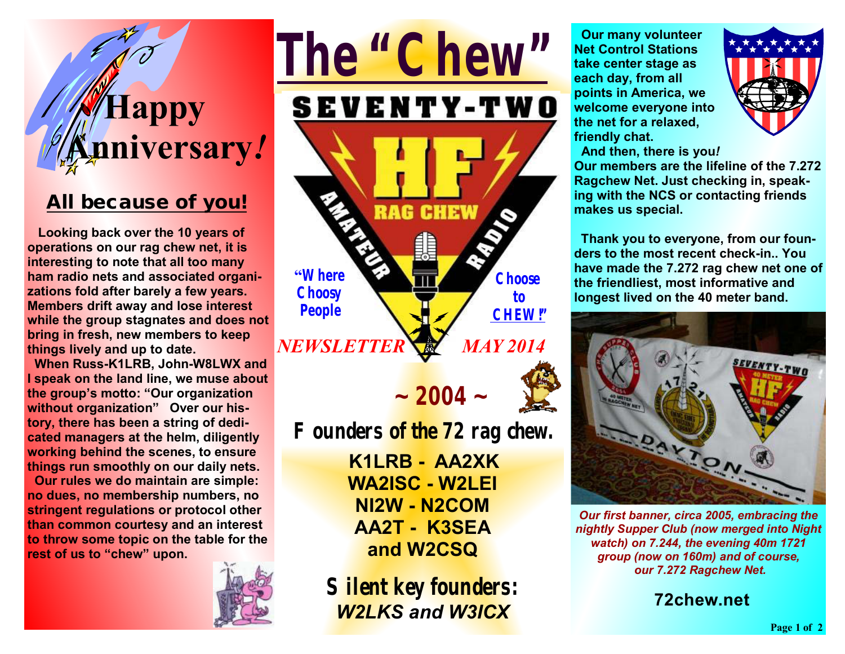# **Happy Anniversary***!*

#### *All because of you!*

 **Looking back over the 10 years of operations on our rag chew net, it is interesting to note that all too many ham radio nets and associated organizations fold after barely a few years. Members drift away and lose interest while the group stagnates and does not bring in fresh, new members to keep things lively and up to date.** 

 **When Russ-K1LRB, John-W8LWX and I speak on the land line, we muse about the group's motto: "Our organization without organization" Over our history, there has been a string of dedicated managers at the helm, diligently working behind the scenes, to ensure things run smoothly on our daily nets.** 

 **Our rules we do maintain are simple: no dues, no membership numbers, no stringent regulations or protocol other than common courtesy and an interest to throw some topic on the table for the rest of us to "chew" upon.** 



**K1LRB - AA2XK WA2ISC - W2LEI NI2W - N2COM AA2T - K3SEA and W2CSQ** 

**Silent key founders:**  *W2LKS and W3ICX*

 **Our many volunteer Net Control Stations take center stage as each day, from all points in America, we welcome everyone into the net for a relaxed, friendly chat.** 



 **And then, there is you***!* **Our members are the lifeline of the 7.272 Ragchew Net. Just checking in, speaking with the NCS or contacting friends makes us special.** 

**Thank you to everyone, from our founders to the most recent check-in.. You have made the 7.272 rag chew net one of the friendliest, most informative and longest lived on the 40 meter band.** 



*Our first banner, circa 2005, embracing the nightly Supper Club (now merged into Night watch) on 7.244, the evening 40m 1721 group (now on 160m) and of course, our 7.272 Ragchew Net.* 

**72chew.net**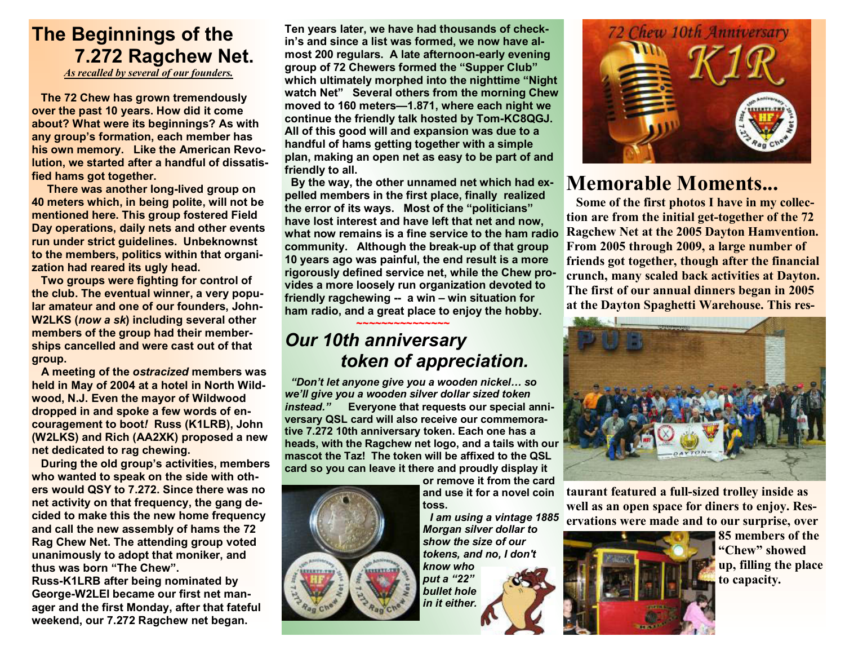## **The Beginnings of the 7.272 Ragchew Net.**

*As recalled by several of our founders.*

 **The 72 Chew has grown tremendously over the past 10 years. How did it come about? What were its beginnings? As with any group's formation, each member has his own memory. Like the American Revolution, we started after a handful of dissatisfied hams got together.** 

 **There was another long-lived group on 40 meters which, in being polite, will not be mentioned here. This group fostered Field Day operations, daily nets and other events run under strict guidelines. Unbeknownst to the members, politics within that organization had reared its ugly head.** 

 **Two groups were fighting for control of the club. The eventual winner, a very popular amateur and one of our founders, John-W2LKS (***now a sk***) including several other members of the group had their memberships cancelled and were cast out of that group.** 

 **A meeting of the** *ostracized* **members was held in May of 2004 at a hotel in North Wildwood, N.J. Even the mayor of Wildwood dropped in and spoke a few words of encouragement to boot***!* **Russ (K1LRB), John (W2LKS) and Rich (AA2XK) proposed a new net dedicated to rag chewing.** 

 **During the old group's activities, members who wanted to speak on the side with others would QSY to 7.272. Since there was no net activity on that frequency, the gang decided to make this the new home frequency and call the new assembly of hams the 72 Rag Chew Net. The attending group voted unanimously to adopt that moniker, and thus was born "The Chew".** 

**Russ-K1LRB after being nominated by George-W2LEI became our first net manager and the first Monday, after that fateful weekend, our 7.272 Ragchew net began.** 

**Ten years later, we have had thousands of checkin's and since a list was formed, we now have almost 200 regulars. A late afternoon-early evening group of 72 Chewers formed the "Supper Club" which ultimately morphed into the nighttime "Night watch Net" Several others from the morning Chew moved to 160 meters—1.871, where each night we continue the friendly talk hosted by Tom-KC8QGJ. All of this good will and expansion was due to a handful of hams getting together with a simple plan, making an open net as easy to be part of and friendly to all.** 

 **By the way, the other unnamed net which had expelled members in the first place, finally realized the error of its ways. Most of the "politicians" have lost interest and have left that net and now, what now remains is a fine service to the ham radio community. Although the break-up of that group 10 years ago was painful, the end result is a more rigorously defined service net, while the Chew provides a more loosely run organization devoted to friendly ragchewing -- a win – win situation for ham radio, and a great place to enjoy the hobby.**

#### **~~~~~~~~~~~~~~~**  *Our 10th anniversary token of appreciation.*

 *"Don't let anyone give you a wooden nickel… so we'll give you a wooden silver dollar sized token instead."* **Everyone that requests our special anniversary QSL card will also receive our commemorative 7.272 10th anniversary token. Each one has a heads, with the Ragchew net logo, and a tails with our mascot the Taz! The token will be affixed to the QSL card so you can leave it there and proudly display it** 

> **or remove it from the card and use it for a novel coin toss.**

 *I am using a vintage 1885 Morgan silver dollar to show the size of our tokens, and no, I don't know who put a "22" bullet hole* 

*in it either.* 



#### **Memorable Moments...**

**Some of the first photos I have in my collection are from the initial get-together of the 72 Ragchew Net at the 2005 Dayton Hamvention. From 2005 through 2009, a large number of friends got together, though after the financial crunch, many scaled back activities at Dayton. The first of our annual dinners began in 2005 at the Dayton Spaghetti Warehouse. This res-**



**taurant featured a full-sized trolley inside as well as an open space for diners to enjoy. Reservations were made and to our surprise, over** 



**85 members of the "Chew" showed up, filling the place to capacity.**